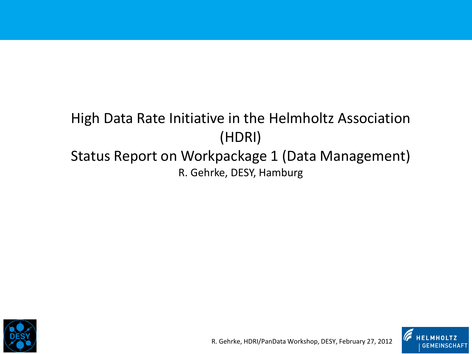# High Data Rate Initiative in the Helmholtz Association (HDRI) Status Report on Workpackage 1 (Data Management)

R. Gehrke, DESY, Hamburg





R. Gehrke, HDRI/PanData Workshop, DESY, February 27, 2012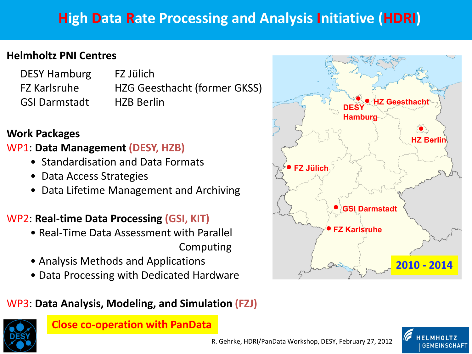## **High Data Rate Processing and Analysis Initiative (HDRI)**

### **Helmholtz PNI Centres**

| <b>DESY Hamburg</b>  | FZ Jülich          |
|----------------------|--------------------|
| <b>FZ Karlsruhe</b>  | <b>HZG Geestha</b> |
| <b>GSI Darmstadt</b> | <b>HZB Berlin</b>  |

FZ Karlsruhe HZG Geesthacht (former GKSS)

### **Work Packages**

### WP1: **Data Management (DESY, HZB)**

- Standardisation and Data Formats
- Data Access Strategies
- Data Lifetime Management and Archiving

### WP2: **Real-time Data Processing (GSI, KIT)**

- Real-Time Data Assessment with Parallel Computing
- Analysis Methods and Applications
- Data Processing with Dedicated Hardware

### WP3: **Data Analysis, Modeling, and Simulation (FZJ)**



#### **Close co-operation with PanData**



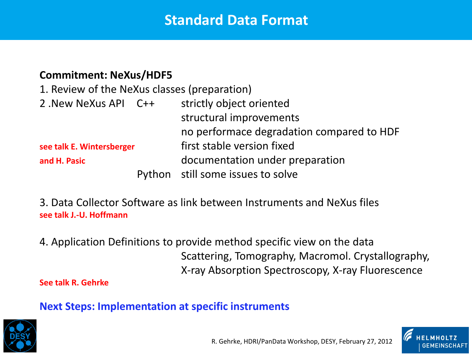### **Standard Data Format**

#### **Commitment: NeXus/HDF5**

| 1. Review of the NeXus classes (preparation) |                                           |
|----------------------------------------------|-------------------------------------------|
| 2. New NeXus API C++                         | strictly object oriented                  |
|                                              | structural improvements                   |
|                                              | no performace degradation compared to HDF |
| see talk E. Wintersberger                    | first stable version fixed                |
| and H. Pasic                                 | documentation under preparation           |
|                                              | Python still some issues to solve         |

3. Data Collector Software as link between Instruments and NeXus files **see talk J.-U. Hoffmann**

4. Application Definitions to provide method specific view on the data Scattering, Tomography, Macromol. Crystallography, X-ray Absorption Spectroscopy, X-ray Fluorescence

#### **See talk R. Gehrke**

### **Next Steps: Implementation at specific instruments**



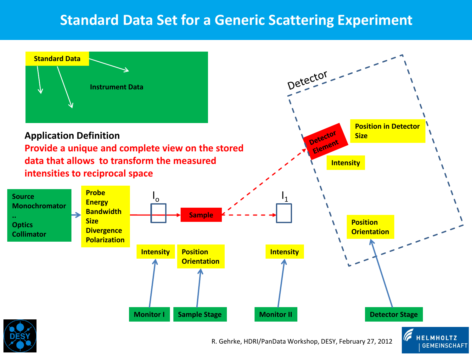## **Standard Data Set for a Generic Scattering Experiment**

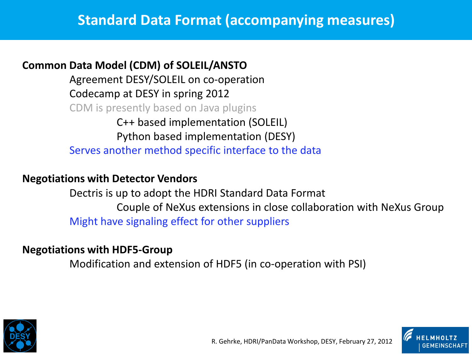### **Common Data Model (CDM) of SOLEIL/ANSTO**

Agreement DESY/SOLEIL on co-operation Codecamp at DESY in spring 2012 CDM is presently based on Java plugins C++ based implementation (SOLEIL)

Python based implementation (DESY) Serves another method specific interface to the data

### **Negotiations with Detector Vendors**

Dectris is up to adopt the HDRI Standard Data Format Couple of NeXus extensions in close collaboration with NeXus Group Might have signaling effect for other suppliers

### **Negotiations with HDF5-Group**

Modification and extension of HDF5 (in co-operation with PSI)



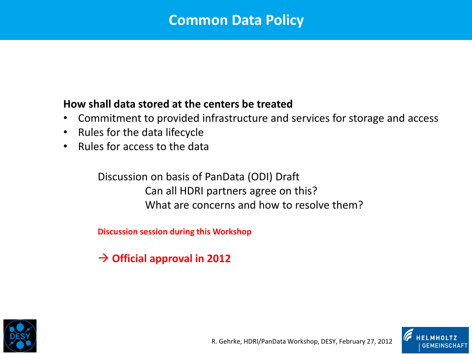### **Common Data Policy**

### **How shall data stored at the centers be treated**

- Commitment to provided infrastructure and services for storage and access
- Rules for the data lifecycle
- Rules for access to the data

Discussion on basis of PanData (ODI) Draft Can all HDRI partners agree on this? What are concerns and how to resolve them?

**Discussion session during this Workshop**

**Official approval in 2012**



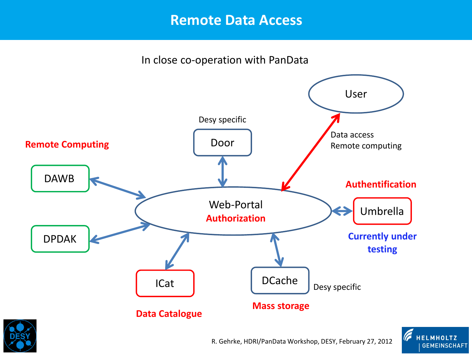### **Remote Data Access**

In close co-operation with PanData







R. Gehrke, HDRI/PanData Workshop, DESY, February 27, 2012